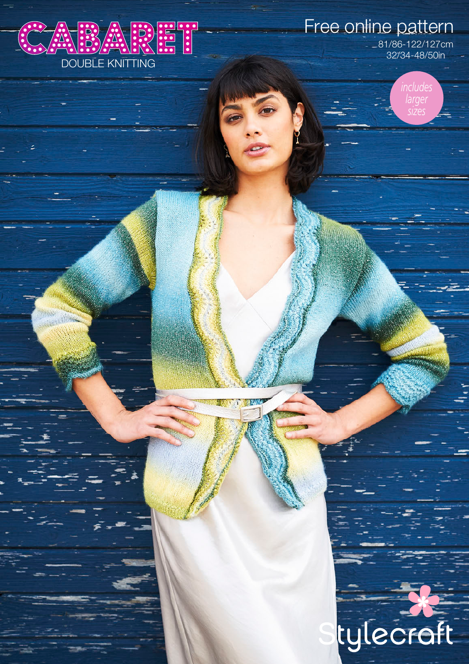

Free online pattern

81/86-122/127cm 32/34-48/50in

> *includes larger sizes*

tylecroft

124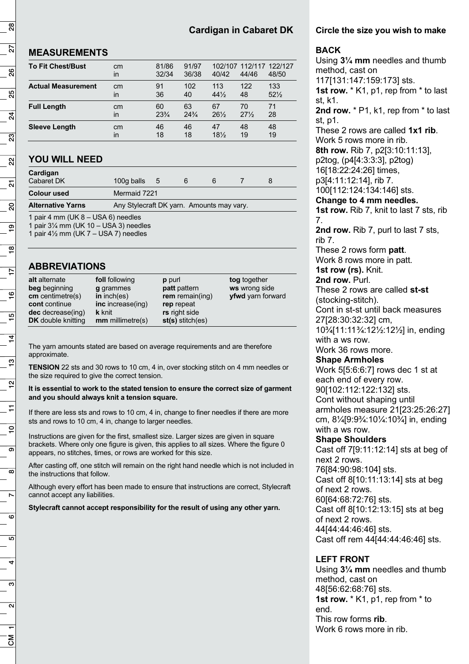# **Cardigan in Cabaret DK**

## **MEASUREMENTS**

| <b>To Fit Chest/Bust</b>  | cm<br>in | 81/86<br>32/34  | 91/97<br>36/38  | 40/42           | 102/107 112/117 122/127<br>44/46 | 48/50           |
|---------------------------|----------|-----------------|-----------------|-----------------|----------------------------------|-----------------|
| <b>Actual Measurement</b> | cm       | 91              | 102             | 113             | 122                              | 133             |
|                           | in       | 36              | 40              | $44\frac{1}{2}$ | 48                               | $52\frac{1}{2}$ |
| <b>Full Length</b>        | cm       | 60              | 63              | 67              | 70                               | 71              |
|                           | in       | $23\frac{3}{4}$ | $24\frac{3}{4}$ | $26\frac{1}{2}$ | $27\frac{1}{2}$                  | 28              |
| <b>Sleeve Length</b>      | cm       | 46              | 46              | 47              | 48                               | 48              |
|                           | in       | 18              | 18              | $18\%$          | 19                               | 19              |

# **YOU WILL NEED**

| Cardigan<br>Cabaret DK | 100g balls $5$                                                                                                                                                                                                                                                                                                                     |  | h |  |  |  |  |  |
|------------------------|------------------------------------------------------------------------------------------------------------------------------------------------------------------------------------------------------------------------------------------------------------------------------------------------------------------------------------|--|---|--|--|--|--|--|
| <b>Colour used</b>     | Mermaid 7221                                                                                                                                                                                                                                                                                                                       |  |   |  |  |  |  |  |
| $\blacksquare$         | $\mathbf{A}$ $\mathbf{C}$ $\mathbf{A}$ $\mathbf{C}$ $\mathbf{D}$ $\mathbf{A}$ $\mathbf{A}$ $\mathbf{A}$ $\mathbf{A}$ $\mathbf{A}$ $\mathbf{A}$ $\mathbf{A}$ $\mathbf{A}$ $\mathbf{A}$ $\mathbf{A}$ $\mathbf{A}$ $\mathbf{A}$ $\mathbf{A}$ $\mathbf{A}$ $\mathbf{A}$ $\mathbf{A}$ $\mathbf{A}$ $\mathbf{A}$ $\mathbf{A}$ $\mathbf{$ |  |   |  |  |  |  |  |

**Alternative Yarns** Any Stylecraft DK yarn. Amounts may vary.

1 pair 4 mm (UK 8 – USA 6) needles

1 pair  $3\frac{1}{4}$  mm (UK 10 – USA 3) needles 1 pair  $4\frac{1}{2}$  mm (UK 7 – USA 7) needles

# **ABBREVIATIONS**

The yarn amounts stated are based on average requirements and are therefore approximate.

**TENSION** 22 sts and 30 rows to 10 cm, 4 in, over stocking stitch on 4 mm needles or the size required to give the correct tension.

#### **It is essential to work to the stated tension to ensure the correct size of garment and you should always knit a tension square.**

If there are less sts and rows to 10 cm, 4 in, change to finer needles if there are more sts and rows to 10 cm, 4 in, change to larger needles.

Instructions are given for the first, smallest size. Larger sizes are given in square brackets. Where only one figure is given, this applies to all sizes. Where the figure 0 appears, no stitches, times, or rows are worked for this size.

After casting off, one stitch will remain on the right hand needle which is not included in the instructions that follow.

Although every effort has been made to ensure that instructions are correct, Stylecraft cannot accept any liabilities.

**Stylecraft cannot accept responsibility for the result of using any other yarn.** 

#### **Circle the size you wish to make**

#### **BACK**

Using **3¼ mm** needles and thumb method, cast on 117[131:147:159:173] sts. **1st row.** \* K1, p1, rep from \* to last st, k1. **2nd row.** \* P1, k1, rep from \* to last st, p1. These 2 rows are called **1x1 rib**. Work 5 rows more in rib. **8th row.** Rib 7, p2[3:10:11:13], p2tog, (p4[4:3:3:3], p2tog) 16[18:22:24:26] times, p3[4:11:12:14], rib 7. 100[112:124:134:146] sts. **Change to 4 mm needles. 1st row.** Rib 7, knit to last 7 sts, rib 7. 2nd row. Rib 7, purl to last 7 sts. rib 7. These 2 rows form **patt**. Work 8 rows more in patt. **1st row (rs).** Knit. **2nd row.** Purl. These 2 rows are called **st-st** (stocking-stitch). Cont in st-st until back measures 27[28:30:32:32] cm, 10¾[11:11¾:12½:12½] in, ending with a ws row. Work 36 rows more. **Shape Armholes**  Work 5[5:6:6:7] rows dec 1 st at each end of every row. 90[102:112:122:132] sts. Cont without shaping until armholes measure 21[23:25:26:27] cm, 8¼[9:9¾:10¼:10¾] in, ending with a ws row. **Shape Shoulders**  Cast off 7[9:11:12:14] sts at beg of next 2 rows. 76[84:90:98:104] sts. Cast off 8[10:11:13:14] sts at beg of next 2 rows. 60[64:68:72:76] sts. Cast off 8[10:12:13:15] sts at beg of next 2 rows. 44[44:44:46:46] sts. Cast off rem 44[44:44:46:46] sts.

#### **LEFT FRONT**

Using **3¼ mm** needles and thumb method, cast on 48[56:62:68:76] sts. **1st row.** \* K1, p1, rep from \* to end. This row forms **rib**. Work 6 rows more in rib.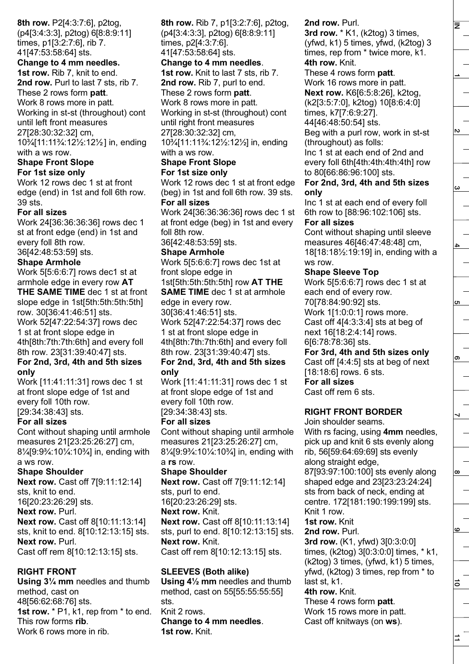**8th row.** P2[4:3:7:6], p2tog, (p4[3:4:3:3], p2tog) 6[8:8:9:11] times, p1[3:2:7:6], rib 7. 41[47:53:58:64] sts.

**Change to 4 mm needles. 1st row.** Rib 7, knit to end. **2nd row.** Purl to last 7 sts, rib 7. These 2 rows form **patt**. Work 8 rows more in patt. Working in st-st (throughout) cont until left front measures 27[28:30:32:32] cm, 10¾[11:11¾:12½:12½ ] in, ending with a ws row.

#### **Shape Front Slope For 1st size only**

Work 12 rows dec 1 st at front edge (end) in 1st and foll 6th row. 39 sts.

## **For all sizes**

Work 24[36:36:36:36] rows dec 1 st at front edge (end) in 1st and every foll 8th row.

36[42:48:53:59] sts.

#### **Shape Armhole**

Work 5[5:6:6:7] rows dec1 st at armhole edge in every row **AT THE SAME TIME** dec 1 st at front slope edge in 1st[5th:5th:5th:5th] row. 30[36:41:46:51] sts. Work 52[47:22:54:37] rows dec 1 st at front slope edge in 4th[8th:7th:7th:6th] and every foll 8th row. 23[31:39:40:47] sts. **For 2nd, 3rd, 4th and 5th sizes** 

#### **only**  Work [11:41:11:31] rows dec 1 st at front slope edge of 1st and every foll 10th row.

[29:34:38:43] sts.

#### **For all sizes**

Cont without shaping until armhole measures 21[23:25:26:27] cm, 8¼[9:9¾:10¼:10¾] in, ending with a ws row.

#### **Shape Shoulder**

**Next row.** Cast off 7[9:11:12:14] sts, knit to end. 16[20:23:26:29] sts.

# **Next row.** Purl.

**Next row.** Cast off 8[10:11:13:14] sts, knit to end. 8[10:12:13:15] sts. **Next row.** Purl. Cast off rem 8[10:12:13:15] sts.

## **RIGHT FRONT**

**Using 3¼ mm** needles and thumb method, cast on 48[56:62:68:76] sts. **1st row.** \* P1, k1, rep from \* to end. This row forms **rib**. Work 6 rows more in rib.

**8th row.** Rib 7, p1[3:2:7:6], p2tog, (p4[3:4:3:3], p2tog) 6[8:8:9:11] times, p2[4:3:7:6]. 41[47:53:58:64] sts. **Change to 4 mm needles**. **1st row.** Knit to last 7 sts, rib 7. **2nd row.** Rib 7, purl to end. These 2 rows form **patt**. Work 8 rows more in patt. Working in st-st (throughout) cont until right front measures 27[28:30:32:32] cm, 10¾[11:11¾:12½:12½] in, ending with a ws row. **Shape Front Slope For 1st size only**  Work 12 rows dec 1 st at front edge (beg) in 1st and foll 6th row. 39 sts. **For all sizes** Work 24[36:36:36:36] rows dec 1 st at front edge (beg) in 1st and every foll 8th row. 36[42:48:53:59] sts. **Shape Armhole** Work 5[5:6:6:7] rows dec 1st at front slope edge in 1st[5th:5th:5th:5th] row **AT THE SAME TIME** dec 1 st at armhole edge in every row. 30[36:41:46:51] sts. Work 52[47:22:54:37] rows dec 1 st at front slope edge in 4th[8th:7th:7th:6th] and every foll 8th row. 23[31:39:40:47] sts. **For 2nd, 3rd, 4th and 5th sizes only**  Work [11:41:11:31] rows dec 1 st at front slope edge of 1st and every foll 10th row. [29:34:38:43] sts. **For all sizes**  Cont without shaping until armhole measures 21[23:25:26:27] cm, 8¼[9:9¾:10¼:10¾] in, ending with a **rs** row. **Shape Shoulder Next row.** Cast off 7[9:11:12:14] sts, purl to end. 16[20:23:26:29] sts. **Next row.** Knit. **Next row.** Cast off 8[10:11:13:14] sts, purl to end. 8[10:12:13:15] sts. **Next row.** Knit. Cast off rem 8[10:12:13:15] sts. **SLEEVES (Both alike) Using 4½ mm** needles and thumb method, cast on 55[55:55:55:55] sts. Knit 2 rows. **Change to 4 mm needles**.

**1st row.** Knit.

**2nd row.** Purl.

**3rd row.** \* K1, (k2tog) 3 times, (yfwd, k1) 5 times, yfwd, (k2tog) 3 times, rep from \* twice more, k1. **4th row.** Knit.

These 4 rows form **patt**. Work 16 rows more in patt. **Next row.** K6[6:5:8:26], k2tog, (k2[3:5:7:0], k2tog) 10[8:6:4:0] times, k7[7:6:9:27]. 44[46:48:50:54] sts. Beg with a purl row, work in st-st

(throughout) as folls:

Inc 1 st at each end of 2nd and every foll 6th[4th:4th:4th:4th] row to 80[66:86:96:100] sts.

**For 2nd, 3rd, 4th and 5th sizes only** 

Inc 1 st at each end of every foll 6th row to [88:96:102:106] sts.

# **For all sizes**

Cont without shaping until sleeve measures 46[46:47:48:48] cm, 18[18:18½:19:19] in, ending with a ws row.

## **Shape Sleeve Top**

Work 5[5:6:6:7] rows dec 1 st at each end of every row. 70[78:84:90:92] sts. Work 1[1:0:0:1] rows more. Cast off 4[4:3:3:4] sts at beg of next 16[18:2:4:14] rows. 6[6:78:78:36] sts.

**For 3rd, 4th and 5th sizes only**  Cast off [4:4:5] sts at beg of next [18:18:6] rows. 6 sts. **For all sizes** 

Cast off rem 6 sts.

## **RIGHT FRONT BORDER**

Join shoulder seams. With rs facing, using **4mm** needles, pick up and knit 6 sts evenly along rib, 56[59:64:69:69] sts evenly along straight edge,

87[93:97:100:100] sts evenly along shaped edge and 23[23:23:24:24] sts from back of neck, ending at centre. 172[181:190:199:199] sts. Knit 1 row.

# **1st row.** Knit

#### **2nd row.** Purl.

**3rd row.** (K1, yfwd) 3[0:3:0:0] times, (k2tog) 3[0:3:0:0] times, \* k1, (k2tog) 3 times, (yfwd, k1) 5 times, yfwd, (k2tog) 3 times, rep from \* to last st, k1.

#### **4th row.** Knit.

These 4 rows form **patt**. Work 15 rows more in patt. Cast off knitways (on **ws**).

 $\vec{r}$